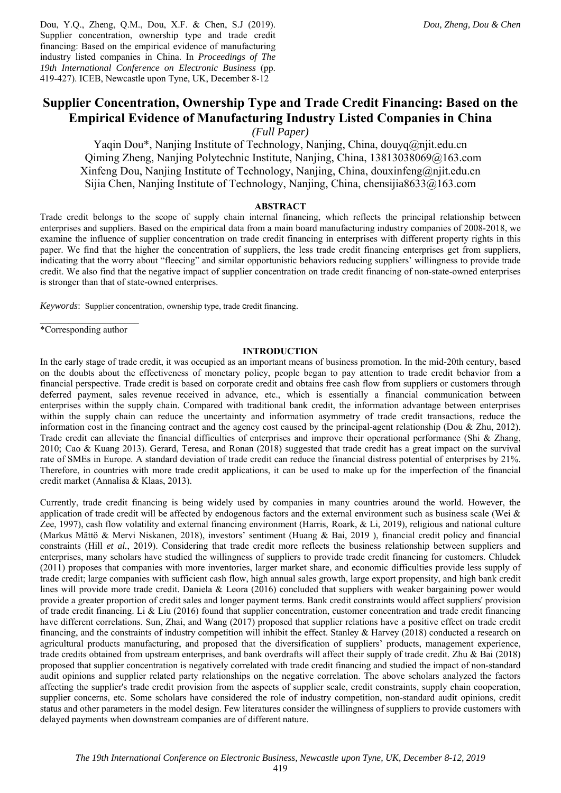Dou, Y.Q., Zheng, Q.M., Dou, X.F. & Chen, S.J (2019). Supplier concentration, ownership type and trade credit financing: Based on the empirical evidence of manufacturing industry listed companies in China. In *Proceedings of The 19th International Conference on Electronic Business* (pp. 419-427). ICEB, Newcastle upon Tyne, UK, December 8-12

# **Supplier Concentration, Ownership Type and Trade Credit Financing: Based on the Empirical Evidence of Manufacturing Industry Listed Companies in China**

*(Full Paper)* 

Yaqin Dou\*, Nanjing Institute of Technology, Nanjing, China, douyq@njit.edu.cn Qiming Zheng, Nanjing Polytechnic Institute, Nanjing, China, 13813038069@163.com Xinfeng Dou, Nanjing Institute of Technology, Nanjing, China, douxinfeng@njit.edu.cn Sijia Chen, Nanjing Institute of Technology, Nanjing, China, chensijia8633@163.com

#### **ABSTRACT**

Trade credit belongs to the scope of supply chain internal financing, which reflects the principal relationship between enterprises and suppliers. Based on the empirical data from a main board manufacturing industry companies of 2008-2018, we examine the influence of supplier concentration on trade credit financing in enterprises with different property rights in this paper. We find that the higher the concentration of suppliers, the less trade credit financing enterprises get from suppliers, indicating that the worry about "fleecing" and similar opportunistic behaviors reducing suppliers' willingness to provide trade credit. We also find that the negative impact of supplier concentration on trade credit financing of non-state-owned enterprises is stronger than that of state-owned enterprises.

*Keywords*: Supplier concentration, ownership type, trade credit financing.

\*Corresponding author

#### **INTRODUCTION**

In the early stage of trade credit, it was occupied as an important means of business promotion. In the mid-20th century, based on the doubts about the effectiveness of monetary policy, people began to pay attention to trade credit behavior from a financial perspective. Trade credit is based on corporate credit and obtains free cash flow from suppliers or customers through deferred payment, sales revenue received in advance, etc., which is essentially a financial communication between enterprises within the supply chain. Compared with traditional bank credit, the information advantage between enterprises within the supply chain can reduce the uncertainty and information asymmetry of trade credit transactions, reduce the information cost in the financing contract and the agency cost caused by the principal-agent relationship (Dou & Zhu, 2012). Trade credit can alleviate the financial difficulties of enterprises and improve their operational performance (Shi & Zhang, 2010; Cao & Kuang 2013). Gerard, Teresa, and Ronan (2018) suggested that trade credit has a great impact on the survival rate of SMEs in Europe. A standard deviation of trade credit can reduce the financial distress potential of enterprises by 21%. Therefore, in countries with more trade credit applications, it can be used to make up for the imperfection of the financial credit market (Annalisa & Klaas, 2013).

Currently, trade credit financing is being widely used by companies in many countries around the world. However, the application of trade credit will be affected by endogenous factors and the external environment such as business scale (Wei & Zee, 1997), cash flow volatility and external financing environment (Harris, Roark, & Li, 2019), religious and national culture (Markus Mättö & Mervi Niskanen, 2018), investors' sentiment (Huang & Bai, 2019 ), financial credit policy and financial constraints (Hill *et al.*, 2019). Considering that trade credit more reflects the business relationship between suppliers and enterprises, many scholars have studied the willingness of suppliers to provide trade credit financing for customers. Chludek (2011) proposes that companies with more inventories, larger market share, and economic difficulties provide less supply of trade credit; large companies with sufficient cash flow, high annual sales growth, large export propensity, and high bank credit lines will provide more trade credit. Daniela & Leora (2016) concluded that suppliers with weaker bargaining power would provide a greater proportion of credit sales and longer payment terms. Bank credit constraints would affect suppliers' provision of trade credit financing. Li & Liu (2016) found that supplier concentration, customer concentration and trade credit financing have different correlations. Sun, Zhai, and Wang (2017) proposed that supplier relations have a positive effect on trade credit financing, and the constraints of industry competition will inhibit the effect. Stanley & Harvey (2018) conducted a research on agricultural products manufacturing, and proposed that the diversification of suppliers' products, management experience, trade credits obtained from upstream enterprises, and bank overdrafts will affect their supply of trade credit. Zhu & Bai (2018) proposed that supplier concentration is negatively correlated with trade credit financing and studied the impact of non-standard audit opinions and supplier related party relationships on the negative correlation. The above scholars analyzed the factors affecting the supplier's trade credit provision from the aspects of supplier scale, credit constraints, supply chain cooperation, supplier concerns, etc. Some scholars have considered the role of industry competition, non-standard audit opinions, credit status and other parameters in the model design. Few literatures consider the willingness of suppliers to provide customers with delayed payments when downstream companies are of different nature.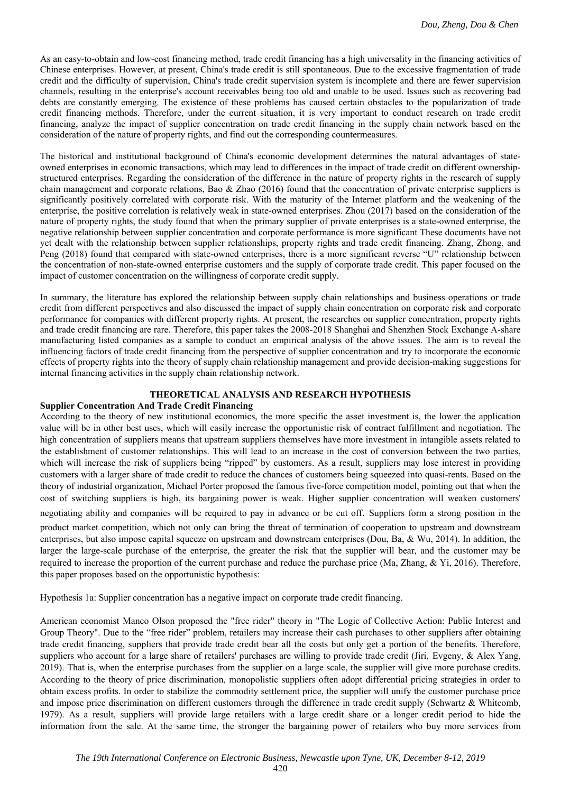As an easy-to-obtain and low-cost financing method, trade credit financing has a high universality in the financing activities of Chinese enterprises. However, at present, China's trade credit is still spontaneous. Due to the excessive fragmentation of trade credit and the difficulty of supervision, China's trade credit supervision system is incomplete and there are fewer supervision channels, resulting in the enterprise's account receivables being too old and unable to be used. Issues such as recovering bad debts are constantly emerging. The existence of these problems has caused certain obstacles to the popularization of trade credit financing methods. Therefore, under the current situation, it is very important to conduct research on trade credit financing, analyze the impact of supplier concentration on trade credit financing in the supply chain network based on the consideration of the nature of property rights, and find out the corresponding countermeasures.

The historical and institutional background of China's economic development determines the natural advantages of stateowned enterprises in economic transactions, which may lead to differences in the impact of trade credit on different ownershipstructured enterprises. Regarding the consideration of the difference in the nature of property rights in the research of supply chain management and corporate relations, Bao & Zhao (2016) found that the concentration of private enterprise suppliers is significantly positively correlated with corporate risk. With the maturity of the Internet platform and the weakening of the enterprise, the positive correlation is relatively weak in state-owned enterprises. Zhou (2017) based on the consideration of the nature of property rights, the study found that when the primary supplier of private enterprises is a state-owned enterprise, the negative relationship between supplier concentration and corporate performance is more significant These documents have not yet dealt with the relationship between supplier relationships, property rights and trade credit financing. Zhang, Zhong, and Peng (2018) found that compared with state-owned enterprises, there is a more significant reverse "U" relationship between the concentration of non-state-owned enterprise customers and the supply of corporate trade credit. This paper focused on the impact of customer concentration on the willingness of corporate credit supply.

In summary, the literature has explored the relationship between supply chain relationships and business operations or trade credit from different perspectives and also discussed the impact of supply chain concentration on corporate risk and corporate performance for companies with different property rights. At present, the researches on supplier concentration, property rights and trade credit financing are rare. Therefore, this paper takes the 2008-2018 Shanghai and Shenzhen Stock Exchange A-share manufacturing listed companies as a sample to conduct an empirical analysis of the above issues. The aim is to reveal the influencing factors of trade credit financing from the perspective of supplier concentration and try to incorporate the economic effects of property rights into the theory of supply chain relationship management and provide decision-making suggestions for internal financing activities in the supply chain relationship network.

## **THEORETICAL ANALYSIS AND RESEARCH HYPOTHESIS**

## **Supplier Concentration And Trade Credit Financing**

According to the theory of new institutional economics, the more specific the asset investment is, the lower the application value will be in other best uses, which will easily increase the opportunistic risk of contract fulfillment and negotiation. The high concentration of suppliers means that upstream suppliers themselves have more investment in intangible assets related to the establishment of customer relationships. This will lead to an increase in the cost of conversion between the two parties, which will increase the risk of suppliers being "ripped" by customers. As a result, suppliers may lose interest in providing customers with a larger share of trade credit to reduce the chances of customers being squeezed into quasi-rents. Based on the theory of industrial organization, Michael Porter proposed the famous five-force competition model, pointing out that when the cost of switching suppliers is high, its bargaining power is weak. Higher supplier concentration will weaken customers' negotiating ability and companies will be required to pay in advance or be cut off. Suppliers form a strong position in the product market competition, which not only can bring the threat of termination of cooperation to upstream and downstream enterprises, but also impose capital squeeze on upstream and downstream enterprises (Dou, Ba, & Wu, 2014). In addition, the larger the large-scale purchase of the enterprise, the greater the risk that the supplier will bear, and the customer may be required to increase the proportion of the current purchase and reduce the purchase price (Ma, Zhang, & Yi, 2016). Therefore, this paper proposes based on the opportunistic hypothesis:

Hypothesis 1a: Supplier concentration has a negative impact on corporate trade credit financing.

American economist Manco Olson proposed the "free rider" theory in "The Logic of Collective Action: Public Interest and Group Theory". Due to the "free rider" problem, retailers may increase their cash purchases to other suppliers after obtaining trade credit financing, suppliers that provide trade credit bear all the costs but only get a portion of the benefits. Therefore, suppliers who account for a large share of retailers' purchases are willing to provide trade credit (Jiri, Evgeny, & Alex Yang, 2019). That is, when the enterprise purchases from the supplier on a large scale, the supplier will give more purchase credits. According to the theory of price discrimination, monopolistic suppliers often adopt differential pricing strategies in order to obtain excess profits. In order to stabilize the commodity settlement price, the supplier will unify the customer purchase price and impose price discrimination on different customers through the difference in trade credit supply (Schwartz & Whitcomb, 1979). As a result, suppliers will provide large retailers with a large credit share or a longer credit period to hide the information from the sale. At the same time, the stronger the bargaining power of retailers who buy more services from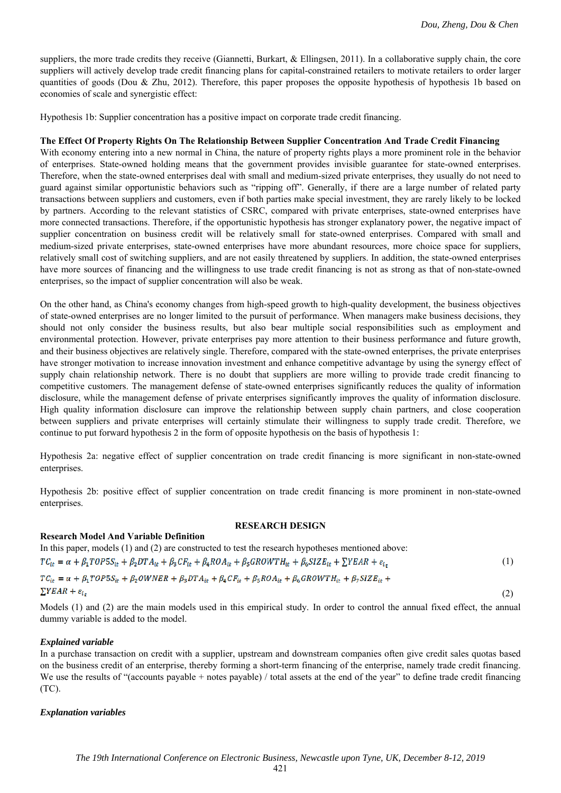(2)

suppliers, the more trade credits they receive (Giannetti, Burkart, & Ellingsen, 2011). In a collaborative supply chain, the core suppliers will actively develop trade credit financing plans for capital-constrained retailers to motivate retailers to order larger quantities of goods (Dou & Zhu, 2012). Therefore, this paper proposes the opposite hypothesis of hypothesis 1b based on economies of scale and synergistic effect:

Hypothesis 1b: Supplier concentration has a positive impact on corporate trade credit financing.

# **The Effect Of Property Rights On The Relationship Between Supplier Concentration And Trade Credit Financing**

With economy entering into a new normal in China, the nature of property rights plays a more prominent role in the behavior of enterprises. State-owned holding means that the government provides invisible guarantee for state-owned enterprises. Therefore, when the state-owned enterprises deal with small and medium-sized private enterprises, they usually do not need to guard against similar opportunistic behaviors such as "ripping off". Generally, if there are a large number of related party transactions between suppliers and customers, even if both parties make special investment, they are rarely likely to be locked by partners. According to the relevant statistics of CSRC, compared with private enterprises, state-owned enterprises have more connected transactions. Therefore, if the opportunistic hypothesis has stronger explanatory power, the negative impact of supplier concentration on business credit will be relatively small for state-owned enterprises. Compared with small and medium-sized private enterprises, state-owned enterprises have more abundant resources, more choice space for suppliers, relatively small cost of switching suppliers, and are not easily threatened by suppliers. In addition, the state-owned enterprises have more sources of financing and the willingness to use trade credit financing is not as strong as that of non-state-owned enterprises, so the impact of supplier concentration will also be weak.

On the other hand, as China's economy changes from high-speed growth to high-quality development, the business objectives of state-owned enterprises are no longer limited to the pursuit of performance. When managers make business decisions, they should not only consider the business results, but also bear multiple social responsibilities such as employment and environmental protection. However, private enterprises pay more attention to their business performance and future growth, and their business objectives are relatively single. Therefore, compared with the state-owned enterprises, the private enterprises have stronger motivation to increase innovation investment and enhance competitive advantage by using the synergy effect of supply chain relationship network. There is no doubt that suppliers are more willing to provide trade credit financing to competitive customers. The management defense of state-owned enterprises significantly reduces the quality of information disclosure, while the management defense of private enterprises significantly improves the quality of information disclosure. High quality information disclosure can improve the relationship between supply chain partners, and close cooperation between suppliers and private enterprises will certainly stimulate their willingness to supply trade credit. Therefore, we continue to put forward hypothesis 2 in the form of opposite hypothesis on the basis of hypothesis 1:

Hypothesis 2a: negative effect of supplier concentration on trade credit financing is more significant in non-state-owned enterprises.

Hypothesis 2b: positive effect of supplier concentration on trade credit financing is more prominent in non-state-owned enterprises.

### **RESEARCH DESIGN**

# In this paper, models (1) and (2) are constructed to test the research hypotheses mentioned above:  $TC_{it} = \alpha + \beta_1 TOP5S_{it} + \beta_2 DTA_{it} + \beta_3 CF_{it} + \beta_4 ROA_{it} + \beta_5 GROWTH_{it} + \beta_6 SIZE_{it} + \sum YEAR + \varepsilon_{i}$  (1)  $TC_{it} = \alpha + \beta_1 TOP5S_{it} + \beta_2 OWNER + \beta_3 DTA_{it} + \beta_4 CF_{it} + \beta_5 ROA_{it} + \beta_6 GROWTH_{it} + \beta_7 SIZE_{it} +$

 $\Sigma YEAR + e_i$ 

**Research Model And Variable Definition** 

Models (1) and (2) are the main models used in this empirical study. In order to control the annual fixed effect, the annual dummy variable is added to the model.

# *Explained variable*

In a purchase transaction on credit with a supplier, upstream and downstream companies often give credit sales quotas based on the business credit of an enterprise, thereby forming a short-term financing of the enterprise, namely trade credit financing. We use the results of "(accounts payable + notes payable) / total assets at the end of the year" to define trade credit financing (TC).

# *Explanation variables*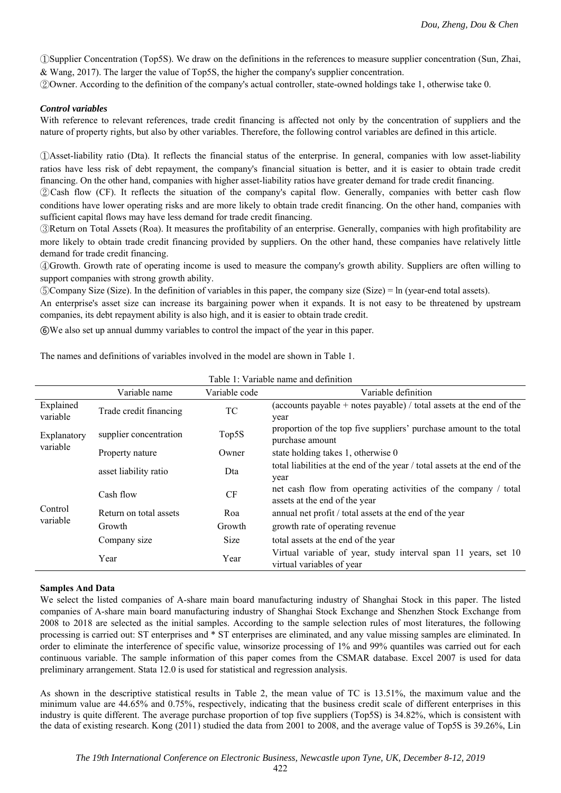①Supplier Concentration (Top5S). We draw on the definitions in the references to measure supplier concentration (Sun, Zhai, & Wang, 2017). The larger the value of Top5S, the higher the company's supplier concentration.

②Owner. According to the definition of the company's actual controller, state-owned holdings take 1, otherwise take 0.

## *Control variables*

With reference to relevant references, trade credit financing is affected not only by the concentration of suppliers and the nature of property rights, but also by other variables. Therefore, the following control variables are defined in this article.

①Asset-liability ratio (Dta). It reflects the financial status of the enterprise. In general, companies with low asset-liability ratios have less risk of debt repayment, the company's financial situation is better, and it is easier to obtain trade credit financing. On the other hand, companies with higher asset-liability ratios have greater demand for trade credit financing.

②Cash flow (CF). It reflects the situation of the company's capital flow. Generally, companies with better cash flow conditions have lower operating risks and are more likely to obtain trade credit financing. On the other hand, companies with sufficient capital flows may have less demand for trade credit financing.

③Return on Total Assets (Roa). It measures the profitability of an enterprise. Generally, companies with high profitability are more likely to obtain trade credit financing provided by suppliers. On the other hand, these companies have relatively little demand for trade credit financing.

④Growth. Growth rate of operating income is used to measure the company's growth ability. Suppliers are often willing to support companies with strong growth ability.

⑤Company Size (Size). In the definition of variables in this paper, the company size (Size) = ln (year-end total assets).

An enterprise's asset size can increase its bargaining power when it expands. It is not easy to be threatened by upstream companies, its debt repayment ability is also high, and it is easier to obtain trade credit.

⑥We also set up annual dummy variables to control the impact of the year in this paper.

The names and definitions of variables involved in the model are shown in Table 1.

|                         | Variable name          | Variable code | Variable definition                                                                             |  |  |  |
|-------------------------|------------------------|---------------|-------------------------------------------------------------------------------------------------|--|--|--|
| Explained<br>variable   | Trade credit financing | TC            | (accounts payable + notes payable) / total assets at the end of the<br>year                     |  |  |  |
| Explanatory<br>variable | supplier concentration | Top5S         | proportion of the top five suppliers' purchase amount to the total<br>purchase amount           |  |  |  |
|                         | Property nature        | Owner         | state holding takes 1, otherwise 0                                                              |  |  |  |
| Control<br>variable     | asset liability ratio  | Dta           | total liabilities at the end of the year / total assets at the end of the<br>year               |  |  |  |
|                         | Cash flow              | CF            | net cash flow from operating activities of the company / total<br>assets at the end of the year |  |  |  |
|                         | Return on total assets | Roa           | annual net profit / total assets at the end of the year                                         |  |  |  |
|                         | Growth                 | Growth        | growth rate of operating revenue                                                                |  |  |  |
|                         | Company size           | Size          | total assets at the end of the year                                                             |  |  |  |
|                         | Year                   | Year          | Virtual variable of year, study interval span 11 years, set 10<br>virtual variables of year     |  |  |  |

Table 1: Variable name and definition

### **Samples And Data**

We select the listed companies of A-share main board manufacturing industry of Shanghai Stock in this paper. The listed companies of A-share main board manufacturing industry of Shanghai Stock Exchange and Shenzhen Stock Exchange from 2008 to 2018 are selected as the initial samples. According to the sample selection rules of most literatures, the following processing is carried out: ST enterprises and \* ST enterprises are eliminated, and any value missing samples are eliminated. In order to eliminate the interference of specific value, winsorize processing of 1% and 99% quantiles was carried out for each continuous variable. The sample information of this paper comes from the CSMAR database. Excel 2007 is used for data preliminary arrangement. Stata 12.0 is used for statistical and regression analysis.

As shown in the descriptive statistical results in Table 2, the mean value of TC is 13.51%, the maximum value and the minimum value are 44.65% and 0.75%, respectively, indicating that the business credit scale of different enterprises in this industry is quite different. The average purchase proportion of top five suppliers (Top5S) is 34.82%, which is consistent with the data of existing research. Kong (2011) studied the data from 2001 to 2008, and the average value of Top5S is 39.26%, Lin

422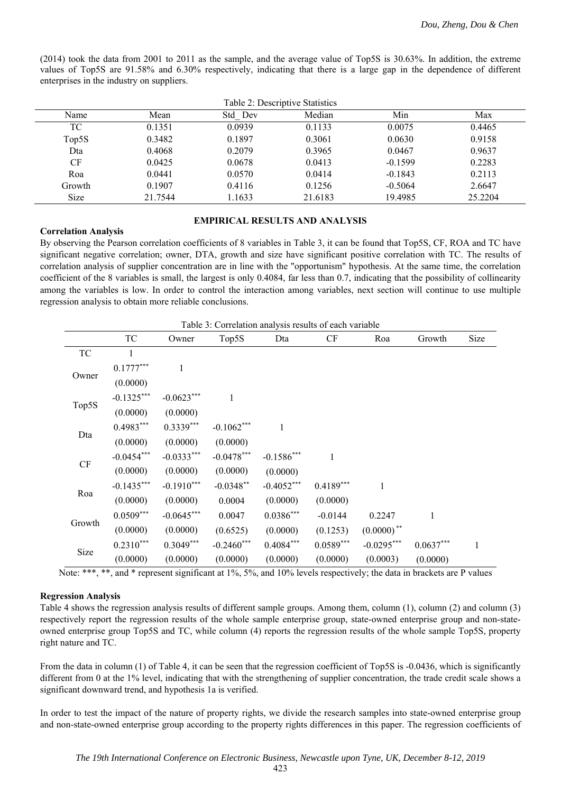(2014) took the data from 2001 to 2011 as the sample, and the average value of Top5S is 30.63%. In addition, the extreme values of Top5S are 91.58% and 6.30% respectively, indicating that there is a large gap in the dependence of different enterprises in the industry on suppliers.

| Table 2: Descriptive Statistics |         |         |         |           |         |  |
|---------------------------------|---------|---------|---------|-----------|---------|--|
| Name                            | Mean    | Std Dev | Median  | Min       | Max     |  |
| TC                              | 0.1351  | 0.0939  | 0.1133  | 0.0075    | 0.4465  |  |
| Top5S                           | 0.3482  | 0.1897  | 0.3061  | 0.0630    | 0.9158  |  |
| Dta                             | 0.4068  | 0.2079  | 0.3965  | 0.0467    | 0.9637  |  |
| CF                              | 0.0425  | 0.0678  | 0.0413  | $-0.1599$ | 0.2283  |  |
| Roa                             | 0.0441  | 0.0570  | 0.0414  | $-0.1843$ | 0.2113  |  |
| Growth                          | 0.1907  | 0.4116  | 0.1256  | $-0.5064$ | 2.6647  |  |
| Size                            | 21.7544 | 1.1633  | 21.6183 | 19.4985   | 25.2204 |  |

# **EMPIRICAL RESULTS AND ANALYSIS**

#### **Correlation Analysis**

By observing the Pearson correlation coefficients of 8 variables in Table 3, it can be found that Top5S, CF, ROA and TC have significant negative correlation; owner, DTA, growth and size have significant positive correlation with TC. The results of correlation analysis of supplier concentration are in line with the "opportunism" hypothesis. At the same time, the correlation coefficient of the 8 variables is small, the largest is only 0.4084, far less than 0.7, indicating that the possibility of collinearity among the variables is low. In order to control the interaction among variables, next section will continue to use multiple regression analysis to obtain more reliable conclusions.

Table 3: Correlation analysis results of each variable

|        | TC           | Owner        | Top5S         | Dta          | CF          | Roa           | Growth      | Size |
|--------|--------------|--------------|---------------|--------------|-------------|---------------|-------------|------|
| TC     |              |              |               |              |             |               |             |      |
| Owner  | $0.1777***$  | $\mathbf{1}$ |               |              |             |               |             |      |
|        | (0.0000)     |              |               |              |             |               |             |      |
| Top5S  | $-0.1325***$ | $-0.0623***$ | 1             |              |             |               |             |      |
|        | (0.0000)     | (0.0000)     |               |              |             |               |             |      |
| Dta    | $0.4983***$  | $0.3339***$  | $-0.1062***$  | 1            |             |               |             |      |
|        | (0.0000)     | (0.0000)     | (0.0000)      |              |             |               |             |      |
|        | $-0.0454***$ | $-0.0333***$ | $-0.0478***$  | $-0.1586***$ | 1           |               |             |      |
| CF     | (0.0000)     | (0.0000)     | (0.0000)      | (0.0000)     |             |               |             |      |
| Roa    | $-0.1435***$ | $-0.1910***$ | $-0.0348**$   | $-0.4052***$ | $0.4189***$ | 1             |             |      |
|        | (0.0000)     | (0.0000)     | 0.0004        | (0.0000)     | (0.0000)    |               |             |      |
| Growth | $0.0509***$  | $-0.0645***$ | 0.0047        | $0.0386***$  | $-0.0144$   | 0.2247        | 1           |      |
|        | (0.0000)     | (0.0000)     | (0.6525)      | (0.0000)     | (0.1253)    | $(0.0000)$ ** |             |      |
| Size   | $0.2310***$  | $0.3049***$  | $-0.2460$ *** | $0.4084***$  | $0.0589***$ | $-0.0295***$  | $0.0637***$ | 1    |
|        | (0.0000)     | (0.0000)     | (0.0000)      | (0.0000)     | (0.0000)    | (0.0003)      | (0.0000)    |      |

Note: \*\*\*, \*\*, and \* represent significant at  $1\%$ ,  $5\%$ , and  $10\%$  levels respectively; the data in brackets are P values

## **Regression Analysis**

Table 4 shows the regression analysis results of different sample groups. Among them, column (1), column (2) and column (3) respectively report the regression results of the whole sample enterprise group, state-owned enterprise group and non-stateowned enterprise group Top5S and TC, while column (4) reports the regression results of the whole sample Top5S, property right nature and TC.

From the data in column (1) of Table 4, it can be seen that the regression coefficient of Top5S is -0.0436, which is significantly different from 0 at the 1% level, indicating that with the strengthening of supplier concentration, the trade credit scale shows a significant downward trend, and hypothesis 1a is verified.

In order to test the impact of the nature of property rights, we divide the research samples into state-owned enterprise group and non-state-owned enterprise group according to the property rights differences in this paper. The regression coefficients of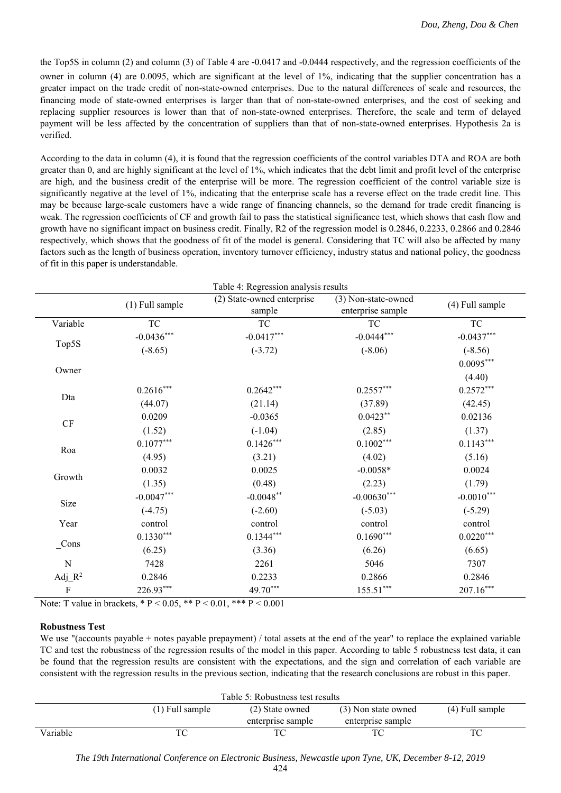the Top5S in column (2) and column (3) of Table 4 are -0.0417 and -0.0444 respectively, and the regression coefficients of the owner in column (4) are 0.0095, which are significant at the level of 1%, indicating that the supplier concentration has a greater impact on the trade credit of non-state-owned enterprises. Due to the natural differences of scale and resources, the financing mode of state-owned enterprises is larger than that of non-state-owned enterprises, and the cost of seeking and replacing supplier resources is lower than that of non-state-owned enterprises. Therefore, the scale and term of delayed payment will be less affected by the concentration of suppliers than that of non-state-owned enterprises. Hypothesis 2a is verified.

According to the data in column (4), it is found that the regression coefficients of the control variables DTA and ROA are both greater than 0, and are highly significant at the level of 1%, which indicates that the debt limit and profit level of the enterprise are high, and the business credit of the enterprise will be more. The regression coefficient of the control variable size is significantly negative at the level of 1%, indicating that the enterprise scale has a reverse effect on the trade credit line. This may be because large-scale customers have a wide range of financing channels, so the demand for trade credit financing is weak. The regression coefficients of CF and growth fail to pass the statistical significance test, which shows that cash flow and growth have no significant impact on business credit. Finally, R2 of the regression model is 0.2846, 0.2233, 0.2866 and 0.2846 respectively, which shows that the goodness of fit of the model is general. Considering that TC will also be affected by many factors such as the length of business operation, inventory turnover efficiency, industry status and national policy, the goodness of fit in this paper is understandable.

|                        |                 | Table 4: Regression analysis results |                     |                 |  |
|------------------------|-----------------|--------------------------------------|---------------------|-----------------|--|
|                        | (1) Full sample | (2) State-owned enterprise           | (3) Non-state-owned | (4) Full sample |  |
|                        |                 | sample                               | enterprise sample   |                 |  |
| Variable               | <b>TC</b>       | <b>TC</b>                            | <b>TC</b>           | <b>TC</b>       |  |
|                        | $-0.0436***$    | $-0.0417***$                         | $-0.0444***$        | $-0.0437***$    |  |
| Top5S                  | $(-8.65)$       | $(-3.72)$                            | $(-8.06)$           | $(-8.56)$       |  |
| Owner                  |                 |                                      |                     | $0.0095***$     |  |
|                        |                 |                                      |                     | (4.40)          |  |
|                        | $0.2616***$     | $0.2642***$                          | $0.2557***$         | $0.2572***$     |  |
| Dta                    | (44.07)         | (21.14)                              | (37.89)             | (42.45)         |  |
| $\mathrm{C}\mathrm{F}$ | 0.0209          | $-0.0365$                            | $0.0423**$          | 0.02136         |  |
|                        | (1.52)          | $(-1.04)$                            | (2.85)              | (1.37)          |  |
| Roa                    | $0.1077***$     | $0.1426***$                          | $0.1002***$         | $0.1143***$     |  |
|                        | (4.95)          | (3.21)                               | (4.02)              | (5.16)          |  |
|                        | 0.0032          | 0.0025                               | $-0.0058*$          | 0.0024          |  |
| Growth                 | (1.35)          | (0.48)                               | (2.23)              | (1.79)          |  |
| Size                   | $-0.0047***$    | $-0.0048$ **                         | $-0.00630***$       | $-0.0010^{***}$ |  |
|                        | $(-4.75)$       | $(-2.60)$                            | $(-5.03)$           | $(-5.29)$       |  |
| Year                   | control         | control                              | control             | control         |  |
| $_{\text{Cons}}$       | $0.1330***$     | $0.1344***$                          | $0.1690***$         | $0.0220***$     |  |
|                        | (6.25)          | (3.36)                               | (6.26)              | (6.65)          |  |
| N                      | 7428            | 2261                                 | 5046                | 7307            |  |
| Adj $R^2$              | 0.2846          | 0.2233                               | 0.2866              | 0.2846          |  |
| $\rm F$                | 226.93***       | 49.70***                             | $155.51***$         | $207.16***$     |  |

Note: T value in brackets,  $* P < 0.05$ ,  $* P < 0.01$ ,  $* * P < 0.001$ 

### **Robustness Test**

We use "(accounts payable + notes payable prepayment) / total assets at the end of the year" to replace the explained variable TC and test the robustness of the regression results of the model in this paper. According to table 5 robustness test data, it can be found that the regression results are consistent with the expectations, and the sign and correlation of each variable are consistent with the regression results in the previous section, indicating that the research conclusions are robust in this paper.

| Table 5: Robustness test results |                   |                   |                     |                   |  |
|----------------------------------|-------------------|-------------------|---------------------|-------------------|--|
|                                  | $(1)$ Full sample | (2) State owned   | (3) Non state owned | $(4)$ Full sample |  |
|                                  |                   | enterprise sample | enterprise sample   |                   |  |
| Variable                         |                   |                   |                     |                   |  |

*The 19th International Conference on Electronic Business, Newcastle upon Tyne, UK, December 8-12, 2019*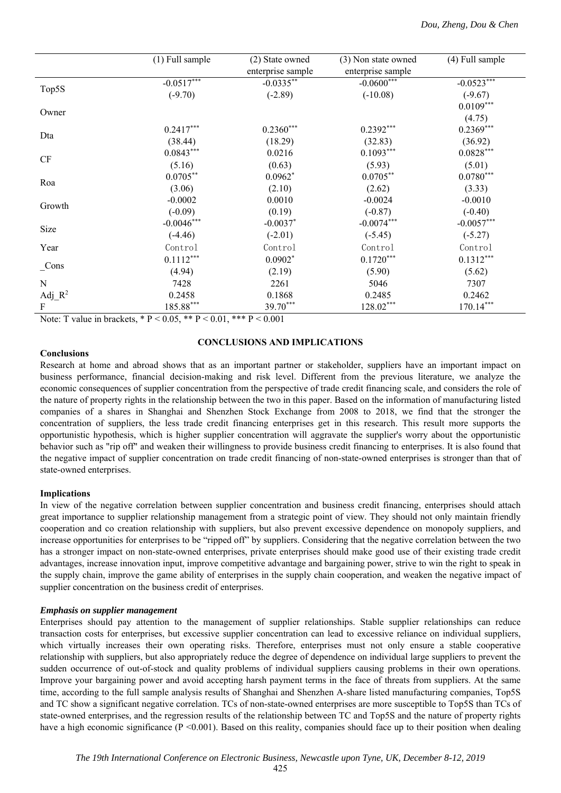|                           | (1) Full sample | (2) State owned   | (3) Non state owned | (4) Full sample |
|---------------------------|-----------------|-------------------|---------------------|-----------------|
|                           |                 | enterprise sample | enterprise sample   |                 |
|                           | $-0.0517***$    | $-0.0335***$      | $-0.0600***$        | $-0.0523***$    |
| Top5S                     | $(-9.70)$       | $(-2.89)$         | $(-10.08)$          | $(-9.67)$       |
| Owner                     |                 |                   |                     | $0.0109***$     |
|                           |                 |                   |                     | (4.75)          |
|                           | $0.2417***$     | $0.2360***$       | $0.2392***$         | $0.2369***$     |
| Dta                       | (38.44)         | (18.29)           | (32.83)             | (36.92)         |
| CF                        | $0.0843***$     | 0.0216            | $0.1093***$         | $0.0828***$     |
|                           | (5.16)          | (0.63)            | (5.93)              | (5.01)          |
| Roa                       | $0.0705***$     | $0.0962*$         | $0.0705***$         | $0.0780***$     |
|                           | (3.06)          | (2.10)            | (2.62)              | (3.33)          |
|                           | $-0.0002$       | 0.0010            | $-0.0024$           | $-0.0010$       |
| Growth                    | $(-0.09)$       | (0.19)            | $(-0.87)$           | $(-0.40)$       |
| Size                      | $-0.0046***$    | $-0.0037$ *       | $-0.0074***$        | $-0.0057***$    |
|                           | $(-4.46)$       | $(-2.01)$         | $(-5.45)$           | $(-5.27)$       |
| Year                      | Control         | Control           | Control             | Control         |
|                           | $0.1112***$     | $0.0902*$         | $0.1720***$         | $0.1312***$     |
| Cons                      | (4.94)          | (2.19)            | (5.90)              | (5.62)          |
| N                         | 7428            | 2261              | 5046                | 7307            |
| Adj $R^2$                 | 0.2458          | 0.1868            | 0.2485              | 0.2462          |
| $\boldsymbol{\mathrm{F}}$ | $185.88***$     | 39.70***          | 128.02***           | $170.14***$     |

Note: T value in brackets, \* P < 0.05, \*\* P < 0.01, \*\*\* P < 0.001

### **Conclusions**

## **CONCLUSIONS AND IMPLICATIONS**

Research at home and abroad shows that as an important partner or stakeholder, suppliers have an important impact on business performance, financial decision-making and risk level. Different from the previous literature, we analyze the economic consequences of supplier concentration from the perspective of trade credit financing scale, and considers the role of the nature of property rights in the relationship between the two in this paper. Based on the information of manufacturing listed companies of a shares in Shanghai and Shenzhen Stock Exchange from 2008 to 2018, we find that the stronger the concentration of suppliers, the less trade credit financing enterprises get in this research. This result more supports the opportunistic hypothesis, which is higher supplier concentration will aggravate the supplier's worry about the opportunistic behavior such as "rip off" and weaken their willingness to provide business credit financing to enterprises. It is also found that the negative impact of supplier concentration on trade credit financing of non-state-owned enterprises is stronger than that of state-owned enterprises.

### **Implications**

In view of the negative correlation between supplier concentration and business credit financing, enterprises should attach great importance to supplier relationship management from a strategic point of view. They should not only maintain friendly cooperation and co creation relationship with suppliers, but also prevent excessive dependence on monopoly suppliers, and increase opportunities for enterprises to be "ripped off" by suppliers. Considering that the negative correlation between the two has a stronger impact on non-state-owned enterprises, private enterprises should make good use of their existing trade credit advantages, increase innovation input, improve competitive advantage and bargaining power, strive to win the right to speak in the supply chain, improve the game ability of enterprises in the supply chain cooperation, and weaken the negative impact of supplier concentration on the business credit of enterprises.

### *Emphasis on supplier management*

Enterprises should pay attention to the management of supplier relationships. Stable supplier relationships can reduce transaction costs for enterprises, but excessive supplier concentration can lead to excessive reliance on individual suppliers, which virtually increases their own operating risks. Therefore, enterprises must not only ensure a stable cooperative relationship with suppliers, but also appropriately reduce the degree of dependence on individual large suppliers to prevent the sudden occurrence of out-of-stock and quality problems of individual suppliers causing problems in their own operations. Improve your bargaining power and avoid accepting harsh payment terms in the face of threats from suppliers. At the same time, according to the full sample analysis results of Shanghai and Shenzhen A-share listed manufacturing companies, Top5S and TC show a significant negative correlation. TCs of non-state-owned enterprises are more susceptible to Top5S than TCs of state-owned enterprises, and the regression results of the relationship between TC and Top5S and the nature of property rights have a high economic significance ( $P \le 0.001$ ). Based on this reality, companies should face up to their position when dealing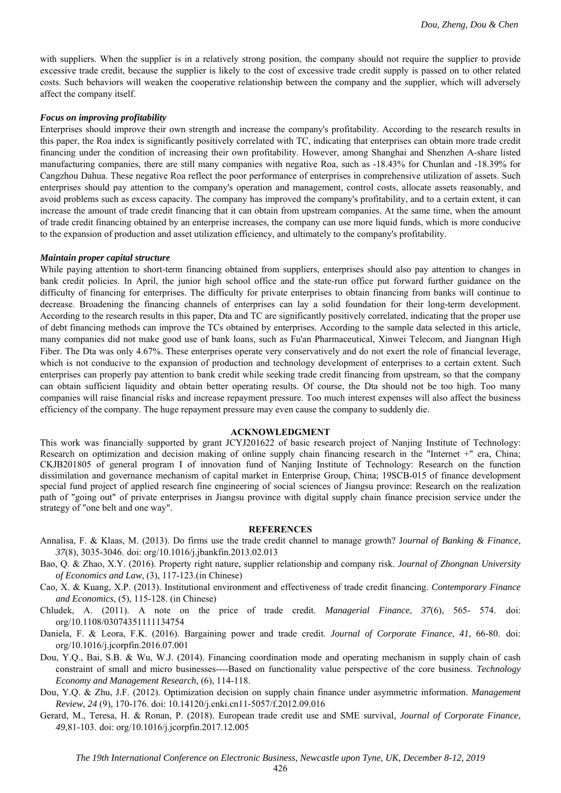with suppliers. When the supplier is in a relatively strong position, the company should not require the supplier to provide excessive trade credit, because the supplier is likely to the cost of excessive trade credit supply is passed on to other related costs. Such behaviors will weaken the cooperative relationship between the company and the supplier, which will adversely affect the company itself.

### *Focus on improving profitability*

Enterprises should improve their own strength and increase the company's profitability. According to the research results in this paper, the Roa index is significantly positively correlated with TC, indicating that enterprises can obtain more trade credit financing under the condition of increasing their own profitability. However, among Shanghai and Shenzhen A-share listed manufacturing companies, there are still many companies with negative Roa, such as -18.43% for Chunlan and -18.39% for Cangzhou Dahua. These negative Roa reflect the poor performance of enterprises in comprehensive utilization of assets. Such enterprises should pay attention to the company's operation and management, control costs, allocate assets reasonably, and avoid problems such as excess capacity. The company has improved the company's profitability, and to a certain extent, it can increase the amount of trade credit financing that it can obtain from upstream companies. At the same time, when the amount of trade credit financing obtained by an enterprise increases, the company can use more liquid funds, which is more conducive to the expansion of production and asset utilization efficiency, and ultimately to the company's profitability.

#### *Maintain proper capital structure*

While paying attention to short-term financing obtained from suppliers, enterprises should also pay attention to changes in bank credit policies. In April, the junior high school office and the state-run office put forward further guidance on the difficulty of financing for enterprises. The difficulty for private enterprises to obtain financing from banks will continue to decrease. Broadening the financing channels of enterprises can lay a solid foundation for their long-term development. According to the research results in this paper, Dta and TC are significantly positively correlated, indicating that the proper use of debt financing methods can improve the TCs obtained by enterprises. According to the sample data selected in this article, many companies did not make good use of bank loans, such as Fu'an Pharmaceutical, Xinwei Telecom, and Jiangnan High Fiber. The Dta was only 4.67%. These enterprises operate very conservatively and do not exert the role of financial leverage, which is not conducive to the expansion of production and technology development of enterprises to a certain extent. Such enterprises can properly pay attention to bank credit while seeking trade credit financing from upstream, so that the company can obtain sufficient liquidity and obtain better operating results. Of course, the Dta should not be too high. Too many companies will raise financial risks and increase repayment pressure. Too much interest expenses will also affect the business efficiency of the company. The huge repayment pressure may even cause the company to suddenly die.

#### **ACKNOWLEDGMENT**

This work was financially supported by grant JCYJ201622 of basic research project of Nanjing Institute of Technology: Research on optimization and decision making of online supply chain financing research in the "Internet +" era, China; CKJB201805 of general program I of innovation fund of Nanjing Institute of Technology: Research on the function dissimilation and governance mechanism of capital market in Enterprise Group, China; 19SCB-015 of finance development special fund project of applied research fine engineering of social sciences of Jiangsu province: Research on the realization path of "going out" of private enterprises in Jiangsu province with digital supply chain finance precision service under the strategy of "one belt and one way".

#### **REFERENCES**

- Annalisa, F. & Klaas, M. (2013). Do firms use the trade credit channel to manage growth? J*ournal of Banking & Finance*, *37*(8), 3035-3046. doi: org/10.1016/j.jbankfin.2013.02.013
- Bao, Q. & Zhao, X.Y. (2016). Property right nature, supplier relationship and company risk. *Journal of Zhongnan University of Economics and Law*, (3), 117-123.(in Chinese)
- Cao, X. & Kuang, X.P. (2013). Institutional environment and effectiveness of trade credit financing. *Contemporary Finance and Economics*, (5), 115-128. (in Chinese)
- Chludek, A. (2011). A note on the price of trade credit. *Managerial Finance*, *37*(6), 565- 574. doi: org/10.1108/03074351111134754
- Daniela, F. & Leora, F.K. (2016). Bargaining power and trade credit. *Journal of Corporate Finance*, *41*, 66-80. doi: org/10.1016/j.jcorpfin.2016.07.001
- Dou, Y.Q., Bai, S.B. & Wu, W.J. (2014). Financing coordination mode and operating mechanism in supply chain of cash constraint of small and micro businesses----Based on functionality value perspective of the core business. *Technology Economy and Management Research*, (6), 114-118.
- Dou, Y.Q. & Zhu, J.F. (2012). Optimization decision on supply chain finance under asymmetric information. *Management Review, 24* (9), 170-176. doi: 10.14120/j.cnki.cn11-5057/f.2012.09.016
- Gerard, M., Teresa, H. & Ronan, P. (2018). European trade credit use and SME survival, *Journal of Corporate Finance*, *49*,81-103. doi: org/10.1016/j.jcorpfin.2017.12.005